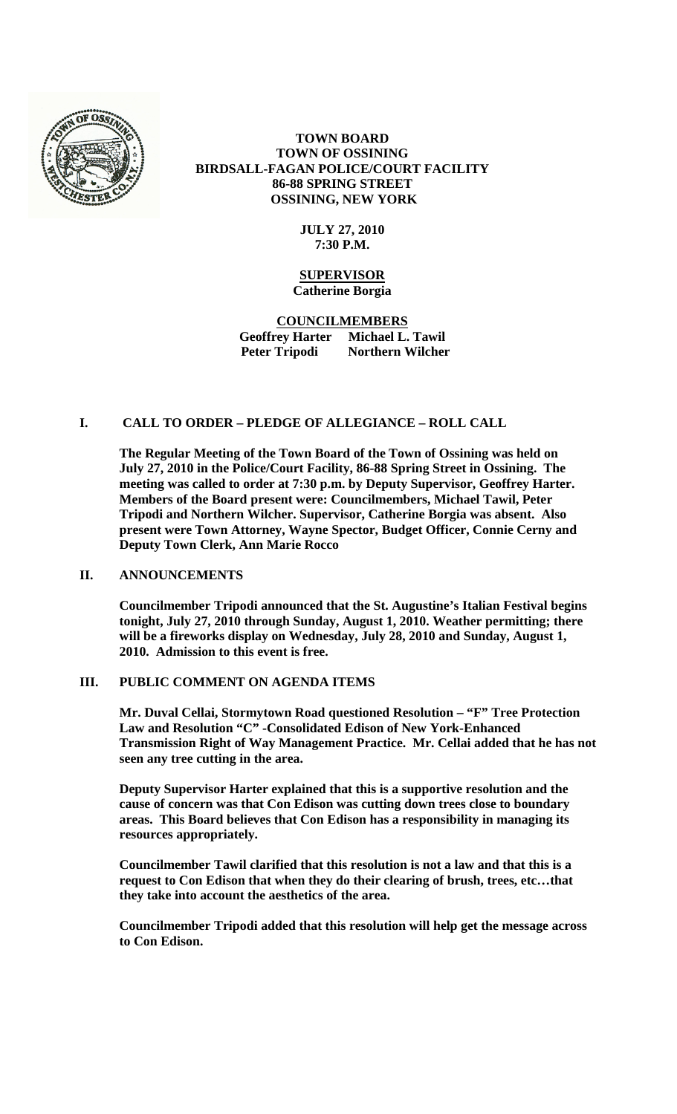

# **TOWN BOARD TOWN OF OSSINING BIRDSALL-FAGAN POLICE/COURT FACILITY 86-88 SPRING STREET OSSINING, NEW YORK**

## **JULY 27, 2010 7:30 P.M.**

#### **SUPERVISOR Catherine Borgia**

**COUNCILMEMBERS Geoffrey Harter Michael L. Tawil Peter Tripodi Northern Wilcher**

# **I. CALL TO ORDER – PLEDGE OF ALLEGIANCE – ROLL CALL**

**The Regular Meeting of the Town Board of the Town of Ossining was held on July 27, 2010 in the Police/Court Facility, 86-88 Spring Street in Ossining. The meeting was called to order at 7:30 p.m. by Deputy Supervisor, Geoffrey Harter. Members of the Board present were: Councilmembers, Michael Tawil, Peter Tripodi and Northern Wilcher. Supervisor, Catherine Borgia was absent. Also present were Town Attorney, Wayne Spector, Budget Officer, Connie Cerny and Deputy Town Clerk, Ann Marie Rocco**

## **II. ANNOUNCEMENTS**

**Councilmember Tripodi announced that the St. Augustine's Italian Festival begins tonight, July 27, 2010 through Sunday, August 1, 2010. Weather permitting; there will be a fireworks display on Wednesday, July 28, 2010 and Sunday, August 1, 2010. Admission to this event is free.** 

## **III. PUBLIC COMMENT ON AGENDA ITEMS**

**Mr. Duval Cellai, Stormytown Road questioned Resolution – "F" Tree Protection Law and Resolution "C" -Consolidated Edison of New York-Enhanced Transmission Right of Way Management Practice. Mr. Cellai added that he has not seen any tree cutting in the area.** 

**Deputy Supervisor Harter explained that this is a supportive resolution and the cause of concern was that Con Edison was cutting down trees close to boundary areas. This Board believes that Con Edison has a responsibility in managing its resources appropriately.**

**Councilmember Tawil clarified that this resolution is not a law and that this is a request to Con Edison that when they do their clearing of brush, trees, etc…that they take into account the aesthetics of the area.**

**Councilmember Tripodi added that this resolution will help get the message across to Con Edison.**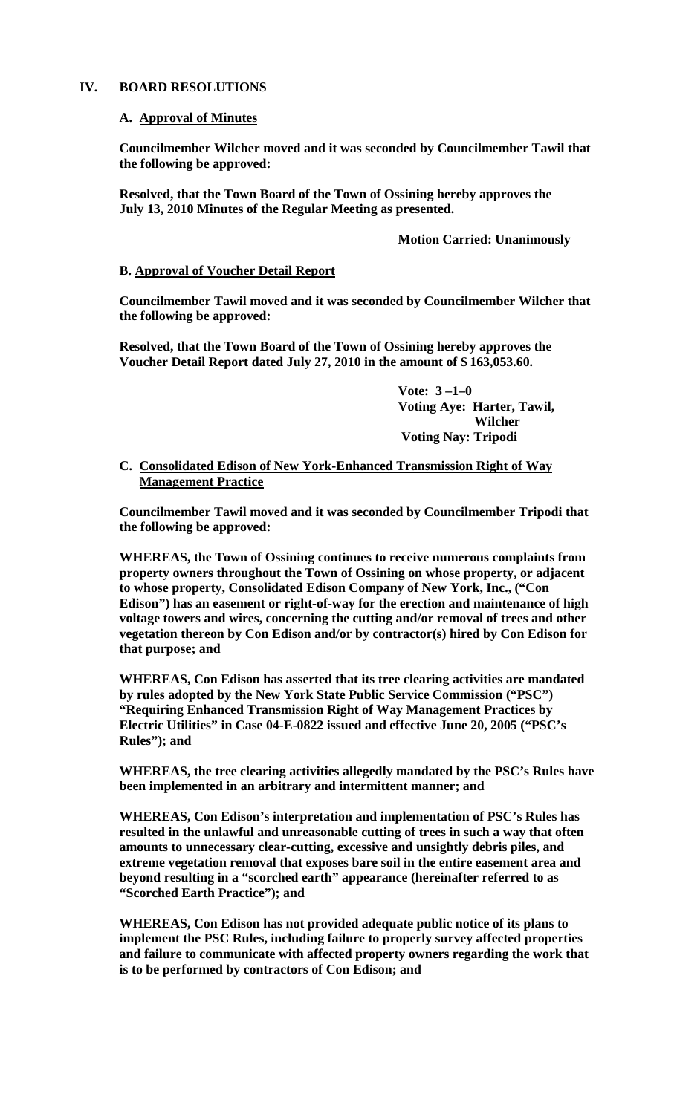#### **IV. BOARD RESOLUTIONS**

#### **A. Approval of Minutes**

**Councilmember Wilcher moved and it was seconded by Councilmember Tawil that the following be approved:**

**Resolved, that the Town Board of the Town of Ossining hereby approves the July 13, 2010 Minutes of the Regular Meeting as presented.**

#### **Motion Carried: Unanimously**

#### **B. Approval of Voucher Detail Report**

**Councilmember Tawil moved and it was seconded by Councilmember Wilcher that the following be approved:**

**Resolved, that the Town Board of the Town of Ossining hereby approves the Voucher Detail Report dated July 27, 2010 in the amount of \$ 163,053.60.**

> **Vote: 3 –1–0 Voting Aye: Harter, Tawil, Wilcher Voting Nay: Tripodi**

#### **C. Consolidated Edison of New York-Enhanced Transmission Right of Way Management Practice**

**Councilmember Tawil moved and it was seconded by Councilmember Tripodi that the following be approved:**

**WHEREAS, the Town of Ossining continues to receive numerous complaints from property owners throughout the Town of Ossining on whose property, or adjacent to whose property, Consolidated Edison Company of New York, Inc., ("Con Edison") has an easement or right-of-way for the erection and maintenance of high voltage towers and wires, concerning the cutting and/or removal of trees and other vegetation thereon by Con Edison and/or by contractor(s) hired by Con Edison for that purpose; and**

**WHEREAS, Con Edison has asserted that its tree clearing activities are mandated by rules adopted by the New York State Public Service Commission ("PSC") "Requiring Enhanced Transmission Right of Way Management Practices by Electric Utilities" in Case 04-E-0822 issued and effective June 20, 2005 ("PSC's Rules"); and** 

**WHEREAS, the tree clearing activities allegedly mandated by the PSC's Rules have been implemented in an arbitrary and intermittent manner; and** 

**WHEREAS, Con Edison's interpretation and implementation of PSC's Rules has resulted in the unlawful and unreasonable cutting of trees in such a way that often amounts to unnecessary clear-cutting, excessive and unsightly debris piles, and extreme vegetation removal that exposes bare soil in the entire easement area and beyond resulting in a "scorched earth" appearance (hereinafter referred to as "Scorched Earth Practice"); and**

**WHEREAS, Con Edison has not provided adequate public notice of its plans to implement the PSC Rules, including failure to properly survey affected properties and failure to communicate with affected property owners regarding the work that is to be performed by contractors of Con Edison; and**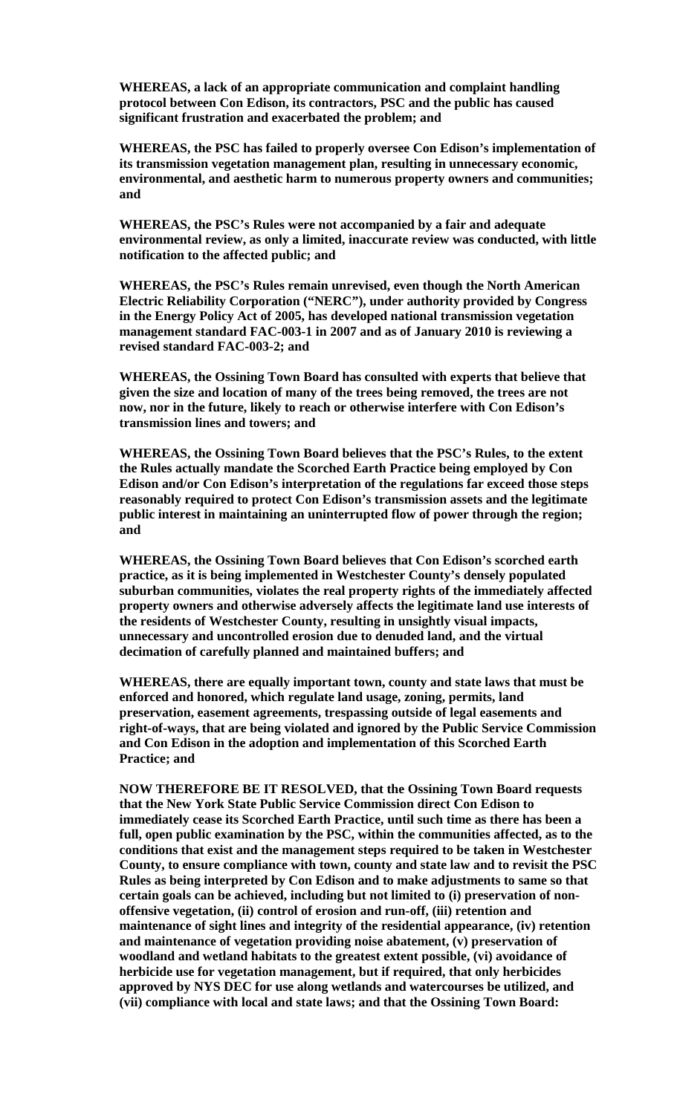**WHEREAS, a lack of an appropriate communication and complaint handling protocol between Con Edison, its contractors, PSC and the public has caused significant frustration and exacerbated the problem; and**

**WHEREAS, the PSC has failed to properly oversee Con Edison's implementation of its transmission vegetation management plan, resulting in unnecessary economic, environmental, and aesthetic harm to numerous property owners and communities; and**

**WHEREAS, the PSC's Rules were not accompanied by a fair and adequate environmental review, as only a limited, inaccurate review was conducted, with little notification to the affected public; and**

**WHEREAS, the PSC's Rules remain unrevised, even though the North American Electric Reliability Corporation ("NERC"), under authority provided by Congress in the Energy Policy Act of 2005, has developed national transmission vegetation management standard FAC-003-1 in 2007 and as of January 2010 is reviewing a revised standard FAC-003-2; and**

**WHEREAS, the Ossining Town Board has consulted with experts that believe that given the size and location of many of the trees being removed, the trees are not now, nor in the future, likely to reach or otherwise interfere with Con Edison's transmission lines and towers; and**

**WHEREAS, the Ossining Town Board believes that the PSC's Rules, to the extent the Rules actually mandate the Scorched Earth Practice being employed by Con Edison and/or Con Edison's interpretation of the regulations far exceed those steps reasonably required to protect Con Edison's transmission assets and the legitimate public interest in maintaining an uninterrupted flow of power through the region; and**

**WHEREAS, the Ossining Town Board believes that Con Edison's scorched earth practice, as it is being implemented in Westchester County's densely populated suburban communities, violates the real property rights of the immediately affected property owners and otherwise adversely affects the legitimate land use interests of the residents of Westchester County, resulting in unsightly visual impacts, unnecessary and uncontrolled erosion due to denuded land, and the virtual decimation of carefully planned and maintained buffers; and** 

**WHEREAS, there are equally important town, county and state laws that must be enforced and honored, which regulate land usage, zoning, permits, land preservation, easement agreements, trespassing outside of legal easements and right-of-ways, that are being violated and ignored by the Public Service Commission and Con Edison in the adoption and implementation of this Scorched Earth Practice; and**

**NOW THEREFORE BE IT RESOLVED, that the Ossining Town Board requests that the New York State Public Service Commission direct Con Edison to immediately cease its Scorched Earth Practice, until such time as there has been a full, open public examination by the PSC, within the communities affected, as to the conditions that exist and the management steps required to be taken in Westchester County, to ensure compliance with town, county and state law and to revisit the PSC Rules as being interpreted by Con Edison and to make adjustments to same so that certain goals can be achieved, including but not limited to (i) preservation of nonoffensive vegetation, (ii) control of erosion and run-off, (iii) retention and maintenance of sight lines and integrity of the residential appearance, (iv) retention and maintenance of vegetation providing noise abatement, (v) preservation of woodland and wetland habitats to the greatest extent possible, (vi) avoidance of herbicide use for vegetation management, but if required, that only herbicides approved by NYS DEC for use along wetlands and watercourses be utilized, and (vii) compliance with local and state laws; and that the Ossining Town Board:**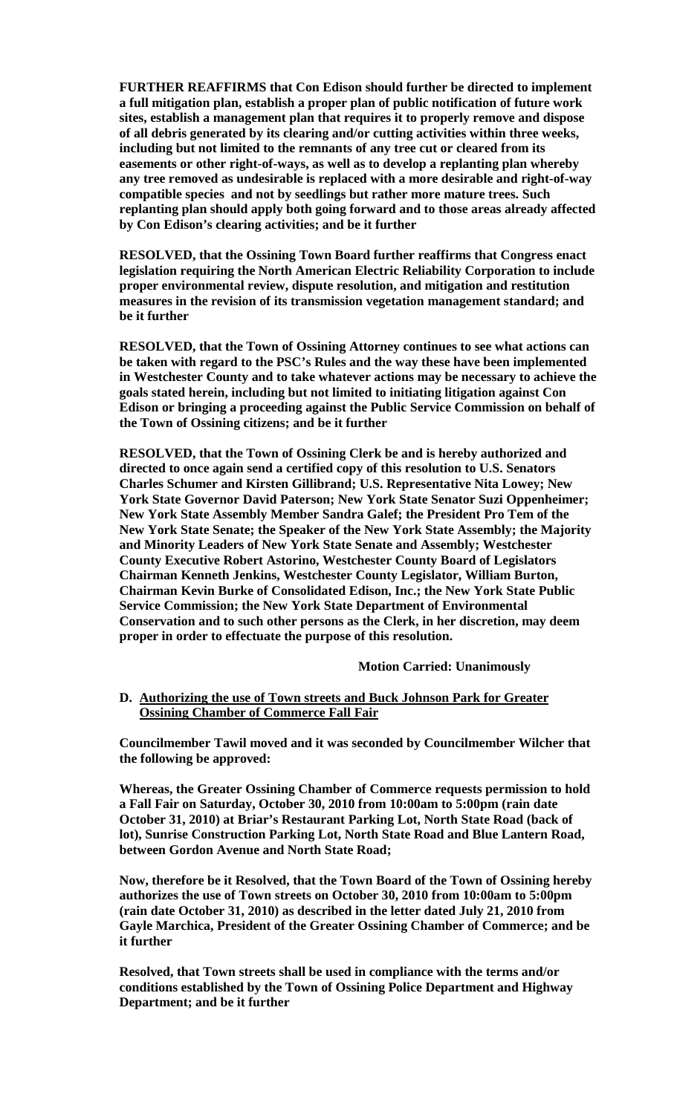**FURTHER REAFFIRMS that Con Edison should further be directed to implement a full mitigation plan, establish a proper plan of public notification of future work sites, establish a management plan that requires it to properly remove and dispose of all debris generated by its clearing and/or cutting activities within three weeks, including but not limited to the remnants of any tree cut or cleared from its easements or other right-of-ways, as well as to develop a replanting plan whereby any tree removed as undesirable is replaced with a more desirable and right-of-way compatible species and not by seedlings but rather more mature trees. Such replanting plan should apply both going forward and to those areas already affected by Con Edison's clearing activities; and be it further**

**RESOLVED, that the Ossining Town Board further reaffirms that Congress enact legislation requiring the North American Electric Reliability Corporation to include proper environmental review, dispute resolution, and mitigation and restitution measures in the revision of its transmission vegetation management standard; and be it further**

**RESOLVED, that the Town of Ossining Attorney continues to see what actions can be taken with regard to the PSC's Rules and the way these have been implemented in Westchester County and to take whatever actions may be necessary to achieve the goals stated herein, including but not limited to initiating litigation against Con Edison or bringing a proceeding against the Public Service Commission on behalf of the Town of Ossining citizens; and be it further**

**RESOLVED, that the Town of Ossining Clerk be and is hereby authorized and directed to once again send a certified copy of this resolution to U.S. Senators Charles Schumer and Kirsten Gillibrand; U.S. Representative Nita Lowey; New York State Governor David Paterson; New York State Senator Suzi Oppenheimer; New York State Assembly Member Sandra Galef; the President Pro Tem of the New York State Senate; the Speaker of the New York State Assembly; the Majority and Minority Leaders of New York State Senate and Assembly; Westchester County Executive Robert Astorino, Westchester County Board of Legislators Chairman Kenneth Jenkins, Westchester County Legislator, William Burton, Chairman Kevin Burke of Consolidated Edison, Inc.; the New York State Public Service Commission; the New York State Department of Environmental Conservation and to such other persons as the Clerk, in her discretion, may deem proper in order to effectuate the purpose of this resolution.**

#### **Motion Carried: Unanimously**

**D. Authorizing the use of Town streets and Buck Johnson Park for Greater Ossining Chamber of Commerce Fall Fair**

**Councilmember Tawil moved and it was seconded by Councilmember Wilcher that the following be approved:**

**Whereas, the Greater Ossining Chamber of Commerce requests permission to hold a Fall Fair on Saturday, October 30, 2010 from 10:00am to 5:00pm (rain date October 31, 2010) at Briar's Restaurant Parking Lot, North State Road (back of lot), Sunrise Construction Parking Lot, North State Road and Blue Lantern Road, between Gordon Avenue and North State Road;** 

**Now, therefore be it Resolved, that the Town Board of the Town of Ossining hereby authorizes the use of Town streets on October 30, 2010 from 10:00am to 5:00pm (rain date October 31, 2010) as described in the letter dated July 21, 2010 from Gayle Marchica, President of the Greater Ossining Chamber of Commerce; and be it further**

**Resolved, that Town streets shall be used in compliance with the terms and/or conditions established by the Town of Ossining Police Department and Highway Department; and be it further**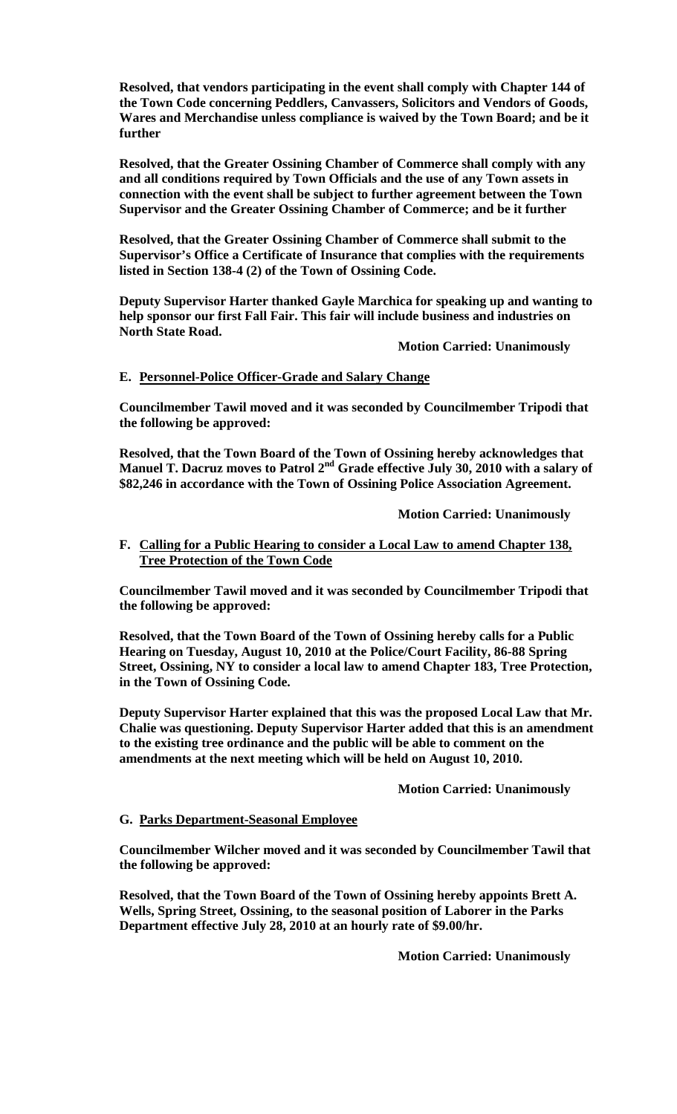**Resolved, that vendors participating in the event shall comply with Chapter 144 of the Town Code concerning Peddlers, Canvassers, Solicitors and Vendors of Goods, Wares and Merchandise unless compliance is waived by the Town Board; and be it further**

**Resolved, that the Greater Ossining Chamber of Commerce shall comply with any and all conditions required by Town Officials and the use of any Town assets in connection with the event shall be subject to further agreement between the Town Supervisor and the Greater Ossining Chamber of Commerce; and be it further**

**Resolved, that the Greater Ossining Chamber of Commerce shall submit to the Supervisor's Office a Certificate of Insurance that complies with the requirements listed in Section 138-4 (2) of the Town of Ossining Code.**

**Deputy Supervisor Harter thanked Gayle Marchica for speaking up and wanting to help sponsor our first Fall Fair. This fair will include business and industries on North State Road.**

**Motion Carried: Unanimously**

## **E. Personnel-Police Officer-Grade and Salary Change**

**Councilmember Tawil moved and it was seconded by Councilmember Tripodi that the following be approved:**

**Resolved, that the Town Board of the Town of Ossining hereby acknowledges that Manuel T. Dacruz moves to Patrol 2nd Grade effective July 30, 2010 with a salary of \$82,246 in accordance with the Town of Ossining Police Association Agreement.**

**Motion Carried: Unanimously**

## **F. Calling for a Public Hearing to consider a Local Law to amend Chapter 138, Tree Protection of the Town Code**

**Councilmember Tawil moved and it was seconded by Councilmember Tripodi that the following be approved:**

**Resolved, that the Town Board of the Town of Ossining hereby calls for a Public Hearing on Tuesday, August 10, 2010 at the Police/Court Facility, 86-88 Spring Street, Ossining, NY to consider a local law to amend Chapter 183, Tree Protection, in the Town of Ossining Code.** 

**Deputy Supervisor Harter explained that this was the proposed Local Law that Mr. Chalie was questioning. Deputy Supervisor Harter added that this is an amendment to the existing tree ordinance and the public will be able to comment on the amendments at the next meeting which will be held on August 10, 2010.** 

## **Motion Carried: Unanimously**

## **G. Parks Department-Seasonal Employee**

**Councilmember Wilcher moved and it was seconded by Councilmember Tawil that the following be approved:**

**Resolved, that the Town Board of the Town of Ossining hereby appoints Brett A. Wells, Spring Street, Ossining, to the seasonal position of Laborer in the Parks Department effective July 28, 2010 at an hourly rate of \$9.00/hr.**

**Motion Carried: Unanimously**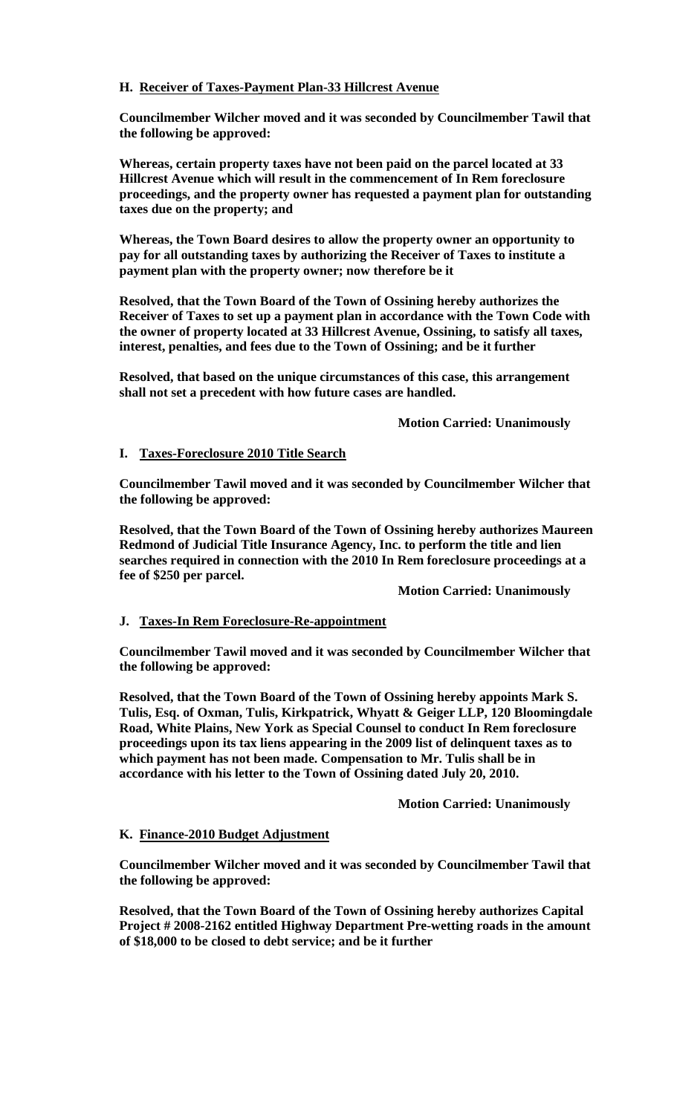# **H. Receiver of Taxes-Payment Plan-33 Hillcrest Avenue**

**Councilmember Wilcher moved and it was seconded by Councilmember Tawil that the following be approved:**

**Whereas, certain property taxes have not been paid on the parcel located at 33 Hillcrest Avenue which will result in the commencement of In Rem foreclosure proceedings, and the property owner has requested a payment plan for outstanding taxes due on the property; and** 

**Whereas, the Town Board desires to allow the property owner an opportunity to pay for all outstanding taxes by authorizing the Receiver of Taxes to institute a payment plan with the property owner; now therefore be it** 

**Resolved, that the Town Board of the Town of Ossining hereby authorizes the Receiver of Taxes to set up a payment plan in accordance with the Town Code with the owner of property located at 33 Hillcrest Avenue, Ossining, to satisfy all taxes, interest, penalties, and fees due to the Town of Ossining; and be it further** 

**Resolved, that based on the unique circumstances of this case, this arrangement shall not set a precedent with how future cases are handled.**

**Motion Carried: Unanimously**

# **I. Taxes-Foreclosure 2010 Title Search**

**Councilmember Tawil moved and it was seconded by Councilmember Wilcher that the following be approved:**

**Resolved, that the Town Board of the Town of Ossining hereby authorizes Maureen Redmond of Judicial Title Insurance Agency, Inc. to perform the title and lien searches required in connection with the 2010 In Rem foreclosure proceedings at a fee of \$250 per parcel.** 

**Motion Carried: Unanimously**

## **J. Taxes-In Rem Foreclosure-Re-appointment**

**Councilmember Tawil moved and it was seconded by Councilmember Wilcher that the following be approved:**

**Resolved, that the Town Board of the Town of Ossining hereby appoints Mark S. Tulis, Esq. of Oxman, Tulis, Kirkpatrick, Whyatt & Geiger LLP, 120 Bloomingdale Road, White Plains, New York as Special Counsel to conduct In Rem foreclosure proceedings upon its tax liens appearing in the 2009 list of delinquent taxes as to which payment has not been made. Compensation to Mr. Tulis shall be in accordance with his letter to the Town of Ossining dated July 20, 2010.**

## **Motion Carried: Unanimously**

## **K. Finance-2010 Budget Adjustment**

**Councilmember Wilcher moved and it was seconded by Councilmember Tawil that the following be approved:**

**Resolved, that the Town Board of the Town of Ossining hereby authorizes Capital Project # 2008-2162 entitled Highway Department Pre-wetting roads in the amount of \$18,000 to be closed to debt service; and be it further**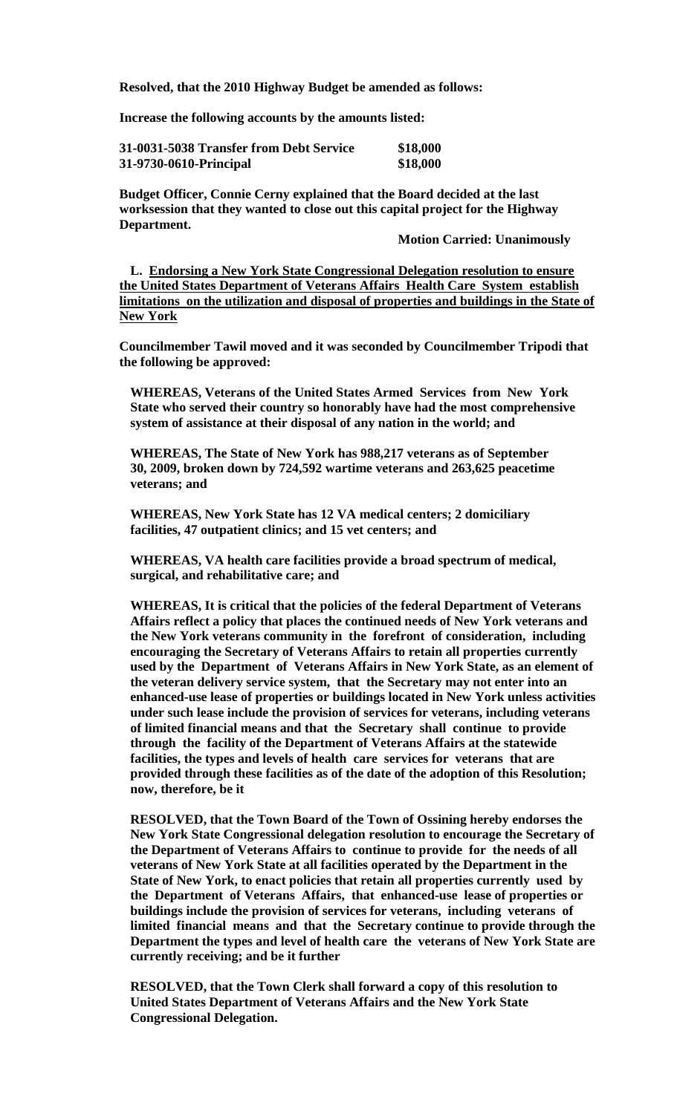**Resolved, that the 2010 Highway Budget be amended as follows:**

**Increase the following accounts by the amounts listed:**

| 31-0031-5038 Transfer from Debt Service<br>31-9730-0610-Principal | \$18,000 |
|-------------------------------------------------------------------|----------|
|                                                                   | \$18,000 |

**Budget Officer, Connie Cerny explained that the Board decided at the last worksession that they wanted to close out this capital project for the Highway Department.**

**Motion Carried: Unanimously**

**L. Endorsing a New York State Congressional Delegation resolution to ensure the United States Department of Veterans Affairs Health Care System establish limitations on the utilization and disposal of properties and buildings in the State of New York**

**Councilmember Tawil moved and it was seconded by Councilmember Tripodi that the following be approved:**

**WHEREAS, Veterans of the United States Armed Services from New York State who served their country so honorably have had the most comprehensive system of assistance at their disposal of any nation in the world; and**

**WHEREAS, The State of New York has 988,217 veterans as of September 30, 2009, broken down by 724,592 wartime veterans and 263,625 peacetime veterans; and** 

**WHEREAS, New York State has 12 VA medical centers; 2 domiciliary facilities, 47 outpatient clinics; and 15 vet centers; and**

**WHEREAS, VA health care facilities provide a broad spectrum of medical, surgical, and rehabilitative care; and**

**WHEREAS, It is critical that the policies of the federal Department of Veterans Affairs reflect a policy that places the continued needs of New York veterans and the New York veterans community in the forefront of consideration, including encouraging the Secretary of Veterans Affairs to retain all properties currently used by the Department of Veterans Affairs in New York State, as an element of the veteran delivery service system, that the Secretary may not enter into an enhanced-use lease of properties or buildings located in New York unless activities under such lease include the provision of services for veterans, including veterans of limited financial means and that the Secretary shall continue to provide through the facility of the Department of Veterans Affairs at the statewide facilities, the types and levels of health care services for veterans that are provided through these facilities as of the date of the adoption of this Resolution; now, therefore, be it**

**RESOLVED, that the Town Board of the Town of Ossining hereby endorses the New York State Congressional delegation resolution to encourage the Secretary of the Department of Veterans Affairs to continue to provide for the needs of all veterans of New York State at all facilities operated by the Department in the State of New York, to enact policies that retain all properties currently used by the Department of Veterans Affairs, that enhanced-use lease of properties or buildings include the provision of services for veterans, including veterans of limited financial means and that the Secretary continue to provide through the Department the types and level of health care the veterans of New York State are currently receiving; and be it further**

**RESOLVED, that the Town Clerk shall forward a copy of this resolution to United States Department of Veterans Affairs and the New York State Congressional Delegation.**